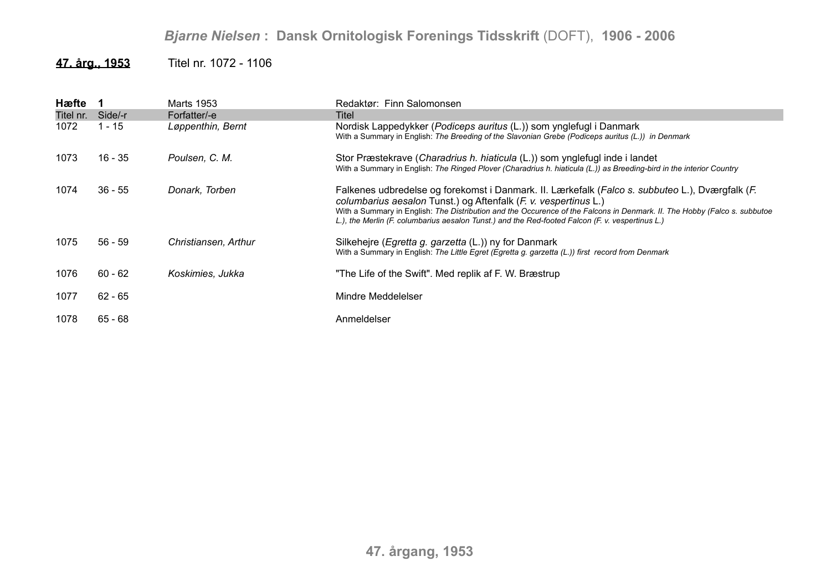## *Bjarne Nielsen* **: Dansk Ornitologisk Forenings Tidsskrift** (DOFT), **1906 - 2006**

## **47. årg., 1953** Titel nr. 1072 - 1106

| Hæfte 1   |           | Marts 1953           | Redaktør: Finn Salomonsen                                                                                                                                                                                                                                                                                                                                                                           |
|-----------|-----------|----------------------|-----------------------------------------------------------------------------------------------------------------------------------------------------------------------------------------------------------------------------------------------------------------------------------------------------------------------------------------------------------------------------------------------------|
| Titel nr. | Side/-r   | Forfatter/-e         | Titel                                                                                                                                                                                                                                                                                                                                                                                               |
| 1072      | 1 - 15    | Løppenthin, Bernt    | Nordisk Lappedykker (Podiceps auritus (L.)) som ynglefugl i Danmark<br>With a Summary in English: The Breeding of the Slavonian Grebe (Podiceps auritus (L.)) in Denmark                                                                                                                                                                                                                            |
| 1073      | 16 - 35   | Poulsen, C. M.       | Stor Præstekrave (Charadrius h. hiaticula (L.)) som ynglefugl inde i landet<br>With a Summary in English: The Ringed Plover (Charadrius h. hiaticula (L.)) as Breeding-bird in the interior Country                                                                                                                                                                                                 |
| 1074      | $36 - 55$ | Donark, Torben       | Falkenes udbredelse og forekomst i Danmark. II. Lærkefalk (Falco s. subbuteo L.), Dværgfalk (F.<br>columbarius aesalon Tunst.) og Aftenfalk (F. v. vespertinus L.)<br>With a Summary in English: The Distribution and the Occurence of the Falcons in Denmark. II. The Hobby (Falco s. subbutoe<br>L.), the Merlin (F. columbarius aesalon Tunst.) and the Red-footed Falcon (F. v. vespertinus L.) |
| 1075      | $56 - 59$ | Christiansen, Arthur | Silkehejre ( <i>Egretta g. garzetta</i> (L.)) ny for Danmark<br>With a Summary in English: The Little Egret (Egretta g. garzetta (L.)) first record from Denmark                                                                                                                                                                                                                                    |
| 1076      | $60 - 62$ | Koskimies, Jukka     | "The Life of the Swift". Med replik af F. W. Bræstrup                                                                                                                                                                                                                                                                                                                                               |
| 1077      | $62 - 65$ |                      | Mindre Meddelelser                                                                                                                                                                                                                                                                                                                                                                                  |
| 1078      | $65 - 68$ |                      | Anmeldelser                                                                                                                                                                                                                                                                                                                                                                                         |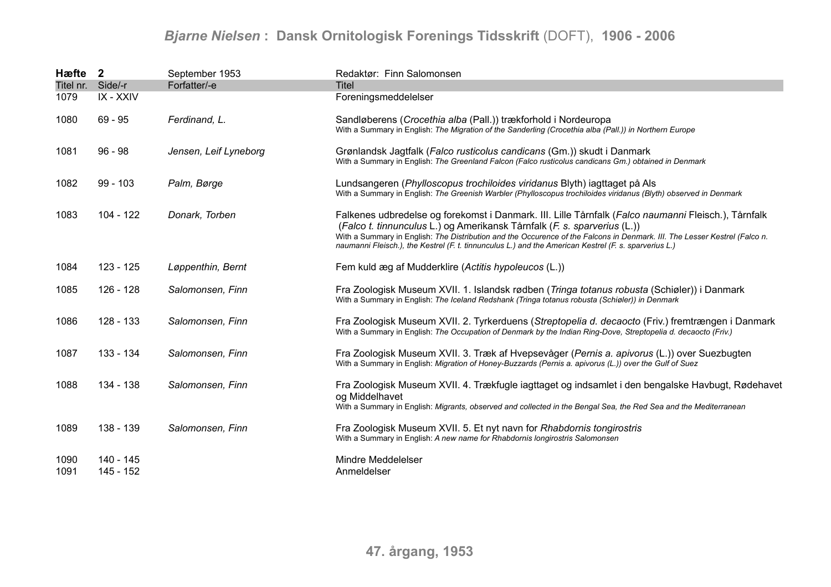## *Bjarne Nielsen* **: Dansk Ornitologisk Forenings Tidsskrift** (DOFT), **1906 - 2006**

| Hæfte 2                   |                        | September 1953        | Redaktør: Finn Salomonsen                                                                                                                                                                                                                                                                                                                                                                                              |
|---------------------------|------------------------|-----------------------|------------------------------------------------------------------------------------------------------------------------------------------------------------------------------------------------------------------------------------------------------------------------------------------------------------------------------------------------------------------------------------------------------------------------|
| Titel nr. Side/-r<br>1079 | IX - XXIV              | Forfatter/-e          | <b>Titel</b><br>Foreningsmeddelelser                                                                                                                                                                                                                                                                                                                                                                                   |
| 1080                      | $69 - 95$              | Ferdinand, L.         | Sandløberens (Crocethia alba (Pall.)) trækforhold i Nordeuropa<br>With a Summary in English: The Migration of the Sanderling (Crocethia alba (Pall.)) in Northern Europe                                                                                                                                                                                                                                               |
| 1081                      | $96 - 98$              | Jensen, Leif Lyneborg | Grønlandsk Jagtfalk (Falco rusticolus candicans (Gm.)) skudt i Danmark<br>With a Summary in English: The Greenland Falcon (Falco rusticolus candicans Gm.) obtained in Denmark                                                                                                                                                                                                                                         |
| 1082                      | $99 - 103$             | Palm, Børge           | Lundsangeren (Phylloscopus trochiloides viridanus Blyth) iagttaget på Als<br>With a Summary in English: The Greenish Warbler (Phylloscopus trochiloides viridanus (Blyth) observed in Denmark                                                                                                                                                                                                                          |
| 1083                      | $104 - 122$            | Donark, Torben        | Falkenes udbredelse og forekomst i Danmark. III. Lille Tårnfalk (Falco naumanni Fleisch.), Tårnfalk<br>(Falco t. tinnunculus L.) og Amerikansk Tårnfalk (F. s. sparverius (L.))<br>With a Summary in English: The Distribution and the Occurence of the Falcons in Denmark. III. The Lesser Kestrel (Falco n.<br>naumanni Fleisch.), the Kestrel (F. t. tinnunculus L.) and the American Kestrel (F. s. sparverius L.) |
| 1084                      | 123 - 125              | Løppenthin, Bernt     | Fem kuld æg af Mudderklire (Actitis hypoleucos (L.))                                                                                                                                                                                                                                                                                                                                                                   |
| 1085                      | 126 - 128              | Salomonsen, Finn      | Fra Zoologisk Museum XVII. 1. Islandsk rødben (Tringa totanus robusta (Schiøler)) i Danmark<br>With a Summary in English: The Iceland Redshank (Tringa totanus robusta (Schiøler)) in Denmark                                                                                                                                                                                                                          |
| 1086                      | 128 - 133              | Salomonsen, Finn      | Fra Zoologisk Museum XVII. 2. Tyrkerduens (Streptopelia d. decaocto (Friv.) fremtrængen i Danmark<br>With a Summary in English: The Occupation of Denmark by the Indian Ring-Dove, Streptopelia d. decaocto (Friv.)                                                                                                                                                                                                    |
| 1087                      | 133 - 134              | Salomonsen, Finn      | Fra Zoologisk Museum XVII. 3. Træk af Hvepsevåger (Pernis a. apivorus (L.)) over Suezbugten<br>With a Summary in English: Migration of Honey-Buzzards (Pernis a. apivorus (L.)) over the Gulf of Suez                                                                                                                                                                                                                  |
| 1088                      | 134 - 138              | Salomonsen, Finn      | Fra Zoologisk Museum XVII. 4. Trækfugle iagttaget og indsamlet i den bengalske Havbugt, Rødehavet<br>og Middelhavet<br>With a Summary in English: Migrants, observed and collected in the Bengal Sea, the Red Sea and the Mediterranean                                                                                                                                                                                |
| 1089                      | 138 - 139              | Salomonsen, Finn      | Fra Zoologisk Museum XVII. 5. Et nyt navn for Rhabdornis tongirostris<br>With a Summary in English: A new name for Rhabdornis longirostris Salomonsen                                                                                                                                                                                                                                                                  |
| 1090<br>1091              | 140 - 145<br>145 - 152 |                       | Mindre Meddelelser<br>Anmeldelser                                                                                                                                                                                                                                                                                                                                                                                      |